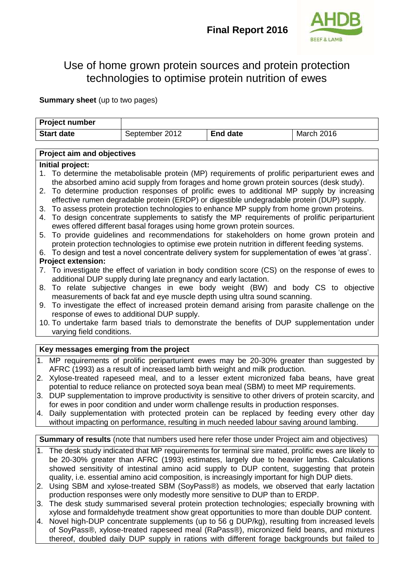

## Use of home grown protein sources and protein protection technologies to optimise protein nutrition of ewes

**Summary sheet** (up to two pages)

| <b>Project number</b> |                                                                                               |                                                                                                                                                                                                   |                 |            |  |
|-----------------------|-----------------------------------------------------------------------------------------------|---------------------------------------------------------------------------------------------------------------------------------------------------------------------------------------------------|-----------------|------------|--|
| <b>Start date</b>     |                                                                                               | September 2012                                                                                                                                                                                    | <b>End date</b> | March 2016 |  |
|                       |                                                                                               |                                                                                                                                                                                                   |                 |            |  |
|                       | <b>Project aim and objectives</b>                                                             |                                                                                                                                                                                                   |                 |            |  |
|                       | Initial project:                                                                              |                                                                                                                                                                                                   |                 |            |  |
|                       |                                                                                               | 1. To determine the metabolisable protein (MP) requirements of prolific periparturient ewes and                                                                                                   |                 |            |  |
|                       |                                                                                               | the absorbed amino acid supply from forages and home grown protein sources (desk study).<br>2. To determine production responses of prolific ewes to additional MP supply by increasing           |                 |            |  |
|                       |                                                                                               | effective rumen degradable protein (ERDP) or digestible undegradable protein (DUP) supply.                                                                                                        |                 |            |  |
| 3.                    |                                                                                               | To assess protein protection technologies to enhance MP supply from home grown proteins.                                                                                                          |                 |            |  |
| 4.                    |                                                                                               | To design concentrate supplements to satisfy the MP requirements of prolific periparturient                                                                                                       |                 |            |  |
|                       |                                                                                               | ewes offered different basal forages using home grown protein sources.                                                                                                                            |                 |            |  |
| 5.                    |                                                                                               | To provide guidelines and recommendations for stakeholders on home grown protein and                                                                                                              |                 |            |  |
|                       |                                                                                               | protein protection technologies to optimise ewe protein nutrition in different feeding systems.<br>To design and test a novel concentrate delivery system for supplementation of ewes 'at grass'. |                 |            |  |
| 6.                    | <b>Project extension:</b>                                                                     |                                                                                                                                                                                                   |                 |            |  |
|                       |                                                                                               | 7. To investigate the effect of variation in body condition score (CS) on the response of ewes to                                                                                                 |                 |            |  |
|                       |                                                                                               | additional DUP supply during late pregnancy and early lactation.                                                                                                                                  |                 |            |  |
| 8.                    |                                                                                               | To relate subjective changes in ewe body weight (BW) and body CS to objective                                                                                                                     |                 |            |  |
|                       |                                                                                               | measurements of back fat and eye muscle depth using ultra sound scanning.                                                                                                                         |                 |            |  |
| 9.                    |                                                                                               | To investigate the effect of increased protein demand arising from parasite challenge on the<br>response of ewes to additional DUP supply.                                                        |                 |            |  |
|                       |                                                                                               | 10. To undertake farm based trials to demonstrate the benefits of DUP supplementation under                                                                                                       |                 |            |  |
|                       | varying field conditions.                                                                     |                                                                                                                                                                                                   |                 |            |  |
|                       |                                                                                               |                                                                                                                                                                                                   |                 |            |  |
|                       | Key messages emerging from the project                                                        |                                                                                                                                                                                                   |                 |            |  |
|                       |                                                                                               | 1. MP requirements of prolific periparturient ewes may be 20-30% greater than suggested by                                                                                                        |                 |            |  |
|                       |                                                                                               | AFRC (1993) as a result of increased lamb birth weight and milk production.<br>2. Xylose-treated rapeseed meal, and to a lesser extent micronized faba beans, have great                          |                 |            |  |
|                       |                                                                                               | potential to reduce reliance on protected soya bean meal (SBM) to meet MP requirements.                                                                                                           |                 |            |  |
|                       |                                                                                               | 3. DUP supplementation to improve productivity is sensitive to other drivers of protein scarcity, and                                                                                             |                 |            |  |
|                       |                                                                                               | for ewes in poor condition and under worm challenge results in production responses.                                                                                                              |                 |            |  |
| 4.                    |                                                                                               | Daily supplementation with protected protein can be replaced by feeding every other day                                                                                                           |                 |            |  |
|                       |                                                                                               | without impacting on performance, resulting in much needed labour saving around lambing.                                                                                                          |                 |            |  |
|                       | Summary of results (note that numbers used here refer those under Project aim and objectives) |                                                                                                                                                                                                   |                 |            |  |
|                       |                                                                                               | 1. The desk study indicated that MP requirements for terminal sire mated, prolific ewes are likely to                                                                                             |                 |            |  |
|                       |                                                                                               | be 20-30% greater than AFRC (1993) estimates, largely due to heavier lambs. Calculations                                                                                                          |                 |            |  |
|                       |                                                                                               | showed sensitivity of intestinal amino acid supply to DUP content, suggesting that protein                                                                                                        |                 |            |  |
|                       |                                                                                               | quality, i.e. essential amino acid composition, is increasingly important for high DUP diets.                                                                                                     |                 |            |  |
|                       |                                                                                               | 2. Using SBM and xylose-treated SBM (SoyPass®) as models, we observed that early lactation<br>production responses were only modestly more sensitive to DUP than to ERDP.                         |                 |            |  |
|                       |                                                                                               | 3. The desk study summarised several protein protection technologies; especially browning with                                                                                                    |                 |            |  |
|                       |                                                                                               | xylose and formaldehyde treatment show great opportunities to more than double DUP content.                                                                                                       |                 |            |  |
|                       |                                                                                               | 4. Novel high-DUP concentrate supplements (up to 56 g DUP/kg), resulting from increased levels                                                                                                    |                 |            |  |
|                       |                                                                                               | of SoyPass®, xylose-treated rapeseed meal (RaPass®), micronized field beans, and mixtures                                                                                                         |                 |            |  |
|                       |                                                                                               | thereof, doubled daily DUP supply in rations with different forage backgrounds but failed to                                                                                                      |                 |            |  |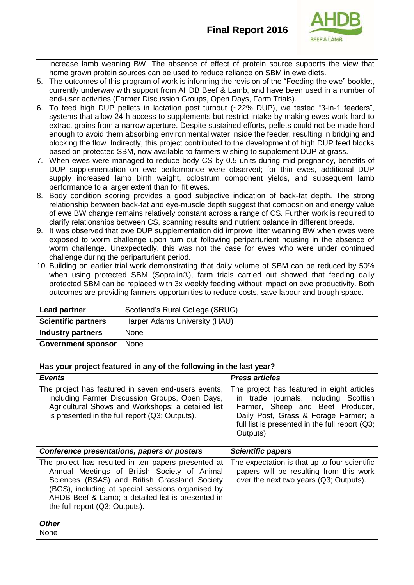

increase lamb weaning BW. The absence of effect of protein source supports the view that home grown protein sources can be used to reduce reliance on SBM in ewe diets.

- 5. The outcomes of this program of work is informing the revision of the "Feeding the ewe" booklet, currently underway with support from AHDB Beef & Lamb, and have been used in a number of end-user activities (Farmer Discussion Groups, Open Days, Farm Trials).
- 6. To feed high DUP pellets in lactation post turnout (~22% DUP), we tested "3-in-1 feeders", systems that allow 24-h access to supplements but restrict intake by making ewes work hard to extract grains from a narrow aperture. Despite sustained efforts, pellets could not be made hard enough to avoid them absorbing environmental water inside the feeder, resulting in bridging and blocking the flow. Indirectly, this project contributed to the development of high DUP feed blocks based on protected SBM, now available to farmers wishing to supplement DUP at grass.
- 7. When ewes were managed to reduce body CS by 0.5 units during mid-pregnancy, benefits of DUP supplementation on ewe performance were observed; for thin ewes, additional DUP supply increased lamb birth weight, colostrum component yields, and subsequent lamb performance to a larger extent than for fit ewes.
- 8. Body condition scoring provides a good subjective indication of back-fat depth. The strong relationship between back-fat and eye-muscle depth suggest that composition and energy value of ewe BW change remains relatively constant across a range of CS. Further work is required to clarify relationships between CS, scanning results and nutrient balance in different breeds.
- 9. It was observed that ewe DUP supplementation did improve litter weaning BW when ewes were exposed to worm challenge upon turn out following periparturient housing in the absence of worm challenge. Unexpectedly, this was not the case for ewes who were under continued challenge during the periparturient period.
- 10. Building on earlier trial work demonstrating that daily volume of SBM can be reduced by 50% when using protected SBM (Sopralin®), farm trials carried out showed that feeding daily protected SBM can be replaced with 3x weekly feeding without impact on ewe productivity. Both outcomes are providing farmers opportunities to reduce costs, save labour and trough space.

| Lead partner               | Scotland's Rural College (SRUC) |
|----------------------------|---------------------------------|
| <b>Scientific partners</b> | Harper Adams University (HAU)   |
| <b>Industry partners</b>   | <b>None</b>                     |
| <b>Government sponsor</b>  | None                            |

| Has your project featured in any of the following in the last year?                                                                                                                                                                                                                              |                                                                                                                                                                                                                                |  |  |  |
|--------------------------------------------------------------------------------------------------------------------------------------------------------------------------------------------------------------------------------------------------------------------------------------------------|--------------------------------------------------------------------------------------------------------------------------------------------------------------------------------------------------------------------------------|--|--|--|
| <b>Events</b>                                                                                                                                                                                                                                                                                    | <b>Press articles</b>                                                                                                                                                                                                          |  |  |  |
| The project has featured in seven end-users events,<br>including Farmer Discussion Groups, Open Days,<br>Agricultural Shows and Workshops; a detailed list<br>is presented in the full report (Q3; Outputs).                                                                                     | The project has featured in eight articles<br>in trade journals, including Scottish<br>Farmer, Sheep and Beef Producer,<br>Daily Post, Grass & Forage Farmer; a<br>full list is presented in the full report (Q3;<br>Outputs). |  |  |  |
| Conference presentations, papers or posters                                                                                                                                                                                                                                                      | <b>Scientific papers</b>                                                                                                                                                                                                       |  |  |  |
| The project has resulted in ten papers presented at<br>Annual Meetings of British Society of Animal<br>Sciences (BSAS) and British Grassland Society<br>(BGS), including at special sessions organised by<br>AHDB Beef & Lamb; a detailed list is presented in<br>the full report (Q3; Outputs). | The expectation is that up to four scientific<br>papers will be resulting from this work<br>over the next two years (Q3; Outputs).                                                                                             |  |  |  |
| Other                                                                                                                                                                                                                                                                                            |                                                                                                                                                                                                                                |  |  |  |
| None                                                                                                                                                                                                                                                                                             |                                                                                                                                                                                                                                |  |  |  |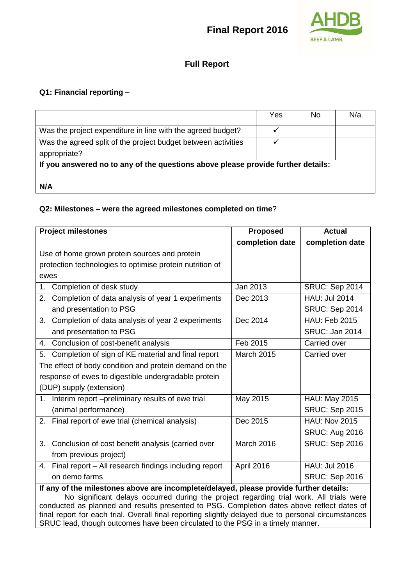

## **Full Report**

### **Q1: Financial reporting –**

|                                                                                  | Yes | No. | N/a |  |
|----------------------------------------------------------------------------------|-----|-----|-----|--|
| Was the project expenditure in line with the agreed budget?                      |     |     |     |  |
| Was the agreed split of the project budget between activities<br>appropriate?    |     |     |     |  |
| If you answered no to any of the questions above please provide further details: |     |     |     |  |
| N/A                                                                              |     |     |     |  |

#### **Q2: Milestones – were the agreed milestones completed on time**?

| <b>Project milestones</b>                                                                                                                                                         | <b>Proposed</b>   | <b>Actual</b>         |  |  |
|-----------------------------------------------------------------------------------------------------------------------------------------------------------------------------------|-------------------|-----------------------|--|--|
|                                                                                                                                                                                   | completion date   | completion date       |  |  |
| Use of home grown protein sources and protein                                                                                                                                     |                   |                       |  |  |
| protection technologies to optimise protein nutrition of                                                                                                                          |                   |                       |  |  |
| ewes                                                                                                                                                                              |                   |                       |  |  |
| Completion of desk study<br>1.                                                                                                                                                    | Jan 2013          | <b>SRUC: Sep 2014</b> |  |  |
| 2. Completion of data analysis of year 1 experiments                                                                                                                              | Dec 2013          | <b>HAU: Jul 2014</b>  |  |  |
| and presentation to PSG                                                                                                                                                           |                   | <b>SRUC: Sep 2014</b> |  |  |
| 3. Completion of data analysis of year 2 experiments                                                                                                                              | Dec 2014          | <b>HAU: Feb 2015</b>  |  |  |
| and presentation to PSG                                                                                                                                                           |                   | <b>SRUC: Jan 2014</b> |  |  |
| 4. Conclusion of cost-benefit analysis                                                                                                                                            | Feb 2015          | Carried over          |  |  |
| 5. Completion of sign of KE material and final report                                                                                                                             | <b>March 2015</b> | Carried over          |  |  |
| The effect of body condition and protein demand on the                                                                                                                            |                   |                       |  |  |
| response of ewes to digestible undergradable protein                                                                                                                              |                   |                       |  |  |
| (DUP) supply (extension)                                                                                                                                                          |                   |                       |  |  |
| 1. Interim report -preliminary results of ewe trial                                                                                                                               | May 2015          | <b>HAU: May 2015</b>  |  |  |
| (animal performance)                                                                                                                                                              |                   | <b>SRUC: Sep 2015</b> |  |  |
| 2. Final report of ewe trial (chemical analysis)                                                                                                                                  | Dec 2015          | <b>HAU: Nov 2015</b>  |  |  |
|                                                                                                                                                                                   |                   | <b>SRUC: Aug 2016</b> |  |  |
| 3. Conclusion of cost benefit analysis (carried over                                                                                                                              | March 2016        | <b>SRUC: Sep 2016</b> |  |  |
| from previous project)                                                                                                                                                            |                   |                       |  |  |
| 4. Final report - All research findings including report                                                                                                                          | April 2016        | <b>HAU: Jul 2016</b>  |  |  |
| on demo farms                                                                                                                                                                     |                   | <b>SRUC: Sep 2016</b> |  |  |
| If any of the milestones above are incomplete/delayed, please provide further details:<br>No cignificant dolove occurred during the project regarding trial work. All trials were |                   |                       |  |  |

No significant delays occurred during the project regarding trial work. All trials were conducted as planned and results presented to PSG. Completion dates above reflect dates of final report for each trial. Overall final reporting slightly delayed due to personal circumstances SRUC lead, though outcomes have been circulated to the PSG in a timely manner.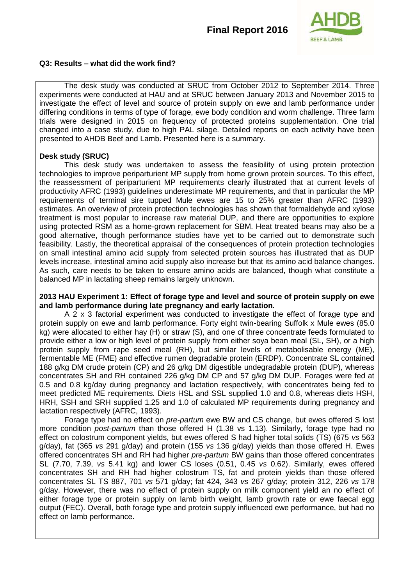

#### **Q3: Results – what did the work find?**

The desk study was conducted at SRUC from October 2012 to September 2014. Three experiments were conducted at HAU and at SRUC between January 2013 and November 2015 to investigate the effect of level and source of protein supply on ewe and lamb performance under differing conditions in terms of type of forage, ewe body condition and worm challenge. Three farm trials were designed in 2015 on frequency of protected proteins supplementation. One trial changed into a case study, due to high PAL silage. Detailed reports on each activity have been presented to AHDB Beef and Lamb. Presented here is a summary.

#### **Desk study (SRUC)**

This desk study was undertaken to assess the feasibility of using protein protection technologies to improve periparturient MP supply from home grown protein sources. To this effect, the reassessment of periparturient MP requirements clearly illustrated that at current levels of productivity AFRC (1993) guidelines underestimate MP requirements, and that in particular the MP requirements of terminal sire tupped Mule ewes are 15 to 25% greater than AFRC (1993) estimates. An overview of protein protection technologies has shown that formaldehyde and xylose treatment is most popular to increase raw material DUP, and there are opportunities to explore using protected RSM as a home-grown replacement for SBM. Heat treated beans may also be a good alternative, though performance studies have yet to be carried out to demonstrate such feasibility. Lastly, the theoretical appraisal of the consequences of protein protection technologies on small intestinal amino acid supply from selected protein sources has illustrated that as DUP levels increase, intestinal amino acid supply also increase but that its amino acid balance changes. As such, care needs to be taken to ensure amino acids are balanced, though what constitute a balanced MP in lactating sheep remains largely unknown.

#### **2013 HAU Experiment 1: Effect of forage type and level and source of protein supply on ewe and lamb performance during late pregnancy and early lactation.**

A 2 x 3 factorial experiment was conducted to investigate the effect of forage type and protein supply on ewe and lamb performance. Forty eight twin-bearing Suffolk x Mule ewes (85.0 kg) were allocated to either hay (H) or straw (S), and one of three concentrate feeds formulated to provide either a low or high level of protein supply from either soya bean meal (SL, SH), or a high protein supply from rape seed meal (RH), but similar levels of metabolisable energy (ME), fermentable ME (FME) and effective rumen degradable protein (ERDP). Concentrate SL contained 188 g/kg DM crude protein (CP) and 26 g/kg DM digestible undegradable protein (DUP), whereas concentrates SH and RH contained 226 g/kg DM CP and 57 g/kg DM DUP. Forages were fed at 0.5 and 0.8 kg/day during pregnancy and lactation respectively, with concentrates being fed to meet predicted ME requirements. Diets HSL and SSL supplied 1.0 and 0.8, whereas diets HSH, HRH, SSH and SRH supplied 1.25 and 1.0 of calculated MP requirements during pregnancy and lactation respectively (AFRC, 1993).

Forage type had no effect on *pre-partum* ewe BW and CS change, but ewes offered S lost more condition *post-partum* than those offered H (1.38 vs 1.13). Similarly, forage type had no effect on colostrum component yields, but ewes offered S had higher total solids (TS) (675 *vs* 563 g/day), fat (365 *vs* 291 g/day) and protein (155 *vs* 136 g/day) yields than those offered H. Ewes offered concentrates SH and RH had higher *pre-partum* BW gains than those offered concentrates SL (7.70, 7.39, *vs* 5.41 kg) and lower CS loses (0.51, 0.45 *vs* 0.62). Similarly, ewes offered concentrates SH and RH had higher colostrum TS, fat and protein yields than those offered concentrates SL TS 887, 701 *vs* 571 g/day; fat 424, 343 *vs* 267 g/day; protein 312, 226 *vs* 178 g/day. However, there was no effect of protein supply on milk component yield an no effect of either forage type or protein supply on lamb birth weight. Iamb growth rate or ewe faecal egg output (FEC). Overall, both forage type and protein supply influenced ewe performance, but had no effect on lamb performance.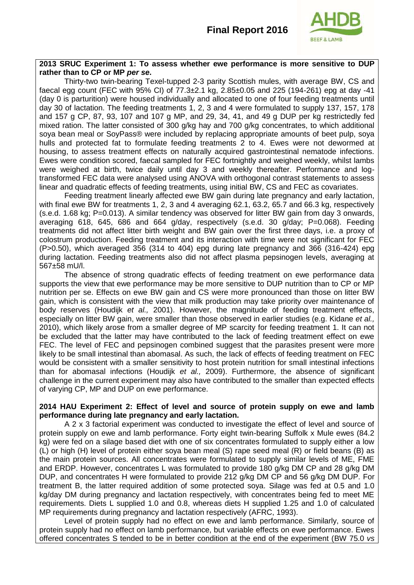

#### **2013 SRUC Experiment 1: To assess whether ewe performance is more sensitive to DUP rather than to CP or MP** *per se***.**

Thirty-two twin-bearing Texel-tupped 2-3 parity Scottish mules, with average BW, CS and faecal egg count (FEC with  $95\%$  CI) of  $77.3\pm2.1$  kg,  $2.85\pm0.05$  and  $225$  (194-261) epg at day -41 (day 0 is parturition) were housed individually and allocated to one of four feeding treatments until day 30 of lactation. The feeding treatments 1, 2, 3 and 4 were formulated to supply 137, 157, 178 and 157 g CP, 87, 93, 107 and 107 g MP, and 29, 34, 41, and 49 g DUP per kg restrictedly fed mixed ration. The latter consisted of 300 g/kg hay and 700 g/kg concentrates, to which additional soya bean meal or SoyPass® were included by replacing appropriate amounts of beet pulp, soya hulls and protected fat to formulate feeding treatments 2 to 4. Ewes were not dewormed at housing, to assess treatment effects on naturally acquired gastrointestinal nematode infections. Ewes were condition scored, faecal sampled for FEC fortnightly and weighed weekly, whilst lambs were weighed at birth, twice daily until day 3 and weekly thereafter. Performance and logtransformed FEC data were analysed using ANOVA with orthogonal contrast statements to assess linear and quadratic effects of feeding treatments, using initial BW, CS and FEC as covariates.

Feeding treatment linearly affected ewe BW gain during late pregnancy and early lactation, with final ewe BW for treatments 1, 2, 3 and 4 averaging 62.1, 63.2, 65.7 and 66.3 kg, respectively (s.e.d. 1.68 kg; P=0.013). A similar tendency was observed for litter BW gain from day 3 onwards, averaging 618, 645, 686 and 664 g/day, respectively (s.e.d. 30 g/day; P=0.068). Feeding treatments did not affect litter birth weight and BW gain over the first three days, i.e. a proxy of colostrum production. Feeding treatment and its interaction with time were not significant for FEC (P>0.50), which averaged 356 (314 to 404) epg during late pregnancy and 366 (316-424) epg during lactation. Feeding treatments also did not affect plasma pepsinogen levels, averaging at 567±58 mU/l.

The absence of strong quadratic effects of feeding treatment on ewe performance data supports the view that ewe performance may be more sensitive to DUP nutrition than to CP or MP nutrition per se. Effects on ewe BW gain and CS were more pronounced than those on litter BW gain, which is consistent with the view that milk production may take priority over maintenance of body reserves (Houdijk *et al.,* 2001). However, the magnitude of feeding treatment effects, especially on litter BW gain, were smaller than those observed in earlier studies (e.g. Kidane *et al.,* 2010), which likely arose from a smaller degree of MP scarcity for feeding treatment 1. It can not be excluded that the latter may have contributed to the lack of feeding treatment effect on ewe FEC. The level of FEC and pepsinogen combined suggest that the parasites present were more likely to be small intestinal than abomasal. As such, the lack of effects of feeding treatment on FEC would be consistent with a smaller sensitivity to host protein nutrition for small intestinal infections than for abomasal infections (Houdijk *et al.,* 2009). Furthermore, the absence of significant challenge in the current experiment may also have contributed to the smaller than expected effects of varying CP, MP and DUP on ewe performance.

#### **2014 HAU Experiment 2: Effect of level and source of protein supply on ewe and lamb performance during late pregnancy and early lactation.**

A 2 x 3 factorial experiment was conducted to investigate the effect of level and source of protein supply on ewe and lamb performance. Forty eight twin-bearing Suffolk x Mule ewes (84.2 kg) were fed on a silage based diet with one of six concentrates formulated to supply either a low (L) or high (H) level of protein either soya bean meal (S) rape seed meal (R) or field beans (B) as the main protein sources. All concentrates were formulated to supply similar levels of ME, FME and ERDP. However, concentrates L was formulated to provide 180 g/kg DM CP and 28 g/kg DM DUP, and concentrates H were formulated to provide 212 g/kg DM CP and 56 g/kg DM DUP. For treatment B, the latter required addition of some protected soya. Silage was fed at 0.5 and 1.0 kg/day DM during pregnancy and lactation respectively, with concentrates being fed to meet ME requirements. Diets L supplied 1.0 and 0.8, whereas diets H supplied 1.25 and 1.0 of calculated MP requirements during pregnancy and lactation respectively (AFRC, 1993).

Level of protein supply had no effect on ewe and lamb performance. Similarly, source of protein supply had no effect on lamb performance, but variable effects on ewe performance. Ewes offered concentrates S tended to be in better condition at the end of the experiment (BW 75.0 *vs*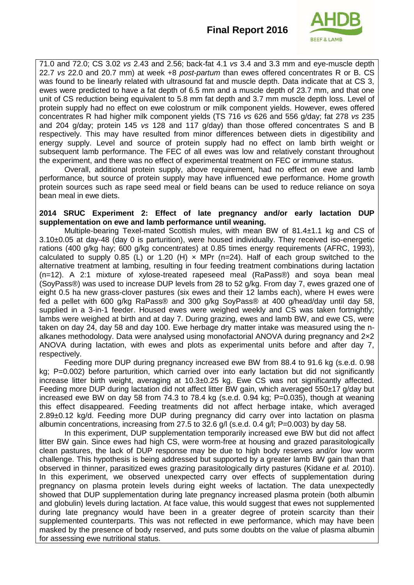

71.0 and 72.0; CS 3.02 *vs* 2.43 and 2.56; back-fat 4.1 *vs* 3.4 and 3.3 mm and eye-muscle depth 22.7 *vs* 22.0 and 20.7 mm) at week +8 *post-partum* than ewes offered concentrates R or B. CS was found to be linearly related with ultrasound fat and muscle depth. Data indicate that at CS 3, ewes were predicted to have a fat depth of 6.5 mm and a muscle depth of 23.7 mm, and that one unit of CS reduction being equivalent to 5.8 mm fat depth and 3.7 mm muscle depth loss. Level of protein supply had no effect on ewe colostrum or milk component yields. However, ewes offered concentrates R had higher milk component yields (TS 716 *vs* 626 and 556 g/day; fat 278 *vs* 235 and 204 g/day; protein 145 *vs* 128 and 117 g/day) than those offered concentrates S and B respectively. This may have resulted from minor differences between diets in digestibility and energy supply. Level and source of protein supply had no effect on lamb birth weight or subsequent lamb performance. The FEC of all ewes was low and relatively constant throughout the experiment, and there was no effect of experimental treatment on FEC or immune status.

Overall, additional protein supply, above requirement, had no effect on ewe and lamb performance, but source of protein supply may have influenced ewe performance. Home growth protein sources such as rape seed meal or field beans can be used to reduce reliance on soya bean meal in ewe diets.

#### **2014 SRUC Experiment 2: Effect of late pregnancy and/or early lactation DUP supplementation on ewe and lamb performance until weaning.**

Multiple-bearing Texel-mated Scottish mules, with mean BW of 81.4±1.1 kg and CS of 3.10±0.05 at day-48 (day 0 is parturition), were housed individually. They received iso-energetic rations (400 g/kg hay; 600 g/kg concentrates) at 0.85 times energy requirements (AFRC, 1993), calculated to supply 0.85 (L) or 1.20 (H)  $\times$  MPr (n=24). Half of each group switched to the alternative treatment at lambing, resulting in four feeding treatment combinations during lactation (n=12). A 2:1 mixture of xylose-treated rapeseed meal (RaPass®) and soya bean meal (SoyPass®) was used to increase DUP levels from 28 to 52 g/kg. From day 7, ewes grazed one of eight 0.5 ha new grass-clover pastures (six ewes and their 12 lambs each), where H ewes were fed a pellet with 600 g/kg RaPass® and 300 g/kg SoyPass® at 400 g/head/day until day 58, supplied in a 3-in-1 feeder. Housed ewes were weighed weekly and CS was taken fortnightly; lambs were weighed at birth and at day 7. During grazing, ewes and lamb BW, and ewe CS, were taken on day 24, day 58 and day 100. Ewe herbage dry matter intake was measured using the nalkanes methodology. Data were analysed using monofactorial ANOVA during pregnancy and 2×2 ANOVA during lactation, with ewes and plots as experimental units before and after day 7, respectively.

Feeding more DUP during pregnancy increased ewe BW from 88.4 to 91.6 kg (s.e.d. 0.98 kg; P=0.002) before parturition, which carried over into early lactation but did not significantly increase litter birth weight, averaging at 10.3±0.25 kg. Ewe CS was not significantly affected. Feeding more DUP during lactation did not affect litter BW gain, which averaged 550±17 g/day but increased ewe BW on day 58 from 74.3 to 78.4 kg (s.e.d. 0.94 kg;  $P=0.035$ ), though at weaning this effect disappeared. Feeding treatments did not affect herbage intake, which averaged 2.89±0.12 kg/d. Feeding more DUP during pregnancy did carry over into lactation on plasma albumin concentrations, increasing from 27.5 to 32.6 g/l (s.e.d. 0.4 g/l; P=0.003) by day 58.

In this experiment, DUP supplementation temporarily increased ewe BW but did not affect litter BW gain. Since ewes had high CS, were worm-free at housing and grazed parasitologically clean pastures, the lack of DUP response may be due to high body reserves and/or low worm challenge. This hypothesis is being addressed but supported by a greater lamb BW gain than that observed in thinner, parasitized ewes grazing parasitologically dirty pastures (Kidane *et al.* 2010). In this experiment, we observed unexpected carry over effects of supplementation during pregnancy on plasma protein levels during eight weeks of lactation. The data unexpectedly showed that DUP supplementation during late pregnancy increased plasma protein (both albumin and globulin) levels during lactation. At face value, this would suggest that ewes not supplemented during late pregnancy would have been in a greater degree of protein scarcity than their supplemented counterparts. This was not reflected in ewe performance, which may have been masked by the presence of body reserved, and puts some doubts on the value of plasma albumin for assessing ewe nutritional status.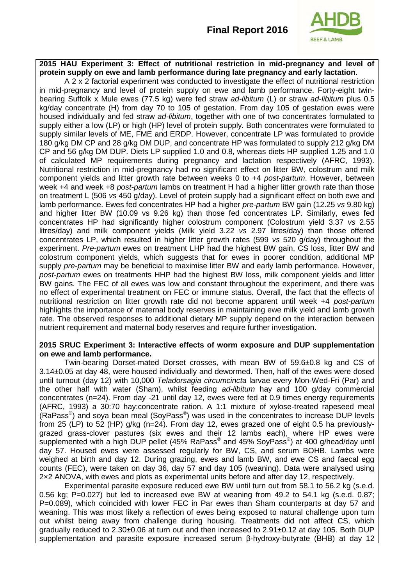

#### **2015 HAU Experiment 3: Effect of nutritional restriction in mid-pregnancy and level of protein supply on ewe and lamb performance during late pregnancy and early lactation.**

A 2 x 2 factorial experiment was conducted to investigate the effect of nutritional restriction in mid-pregnancy and level of protein supply on ewe and lamb performance. Forty-eight twinbearing Suffolk x Mule ewes (77.5 kg) were fed straw *ad-libitum* (L) or straw *ad-libitum* plus 0.5 kg/day concentrate (H) from day 70 to 105 of gestation. From day 105 of gestation ewes were housed individually and fed straw *ad-libitum*, together with one of two concentrates formulated to supply either a low (LP) or high (HP) level of protein supply. Both concentrates were formulated to supply similar levels of ME, FME and ERDP. However, concentrate LP was formulated to provide 180 g/kg DM CP and 28 g/kg DM DUP, and concentrate HP was formulated to supply 212 g/kg DM CP and 56 g/kg DM DUP. Diets LP supplied 1.0 and 0.8, whereas diets HP supplied 1.25 and 1.0 of calculated MP requirements during pregnancy and lactation respectively (AFRC, 1993). Nutritional restriction in mid-pregnancy had no significant effect on litter BW, colostrum and milk component yields and litter growth rate between weeks 0 to +4 *post-partum*. However, between week +4 and week +8 *post-partum* lambs on treatment H had a higher litter growth rate than those on treatment L (506 *vs* 450 g/day). Level of protein supply had a significant effect on both ewe and lamb performance. Ewes fed concentrates HP had a higher *pre-partum* BW gain (12.25 *vs* 9.80 kg) and higher litter BW (10.09 vs 9.26 kg) than those fed concentrates LP. Similarly, ewes fed concentrates HP had significantly higher colostrum component (Colostrum yield 3.37 *vs* 2.55 litres/day) and milk component yields (Milk yield 3.22 *vs* 2.97 litres/day) than those offered concentrates LP, which resulted in higher litter growth rates (599 *vs* 520 g/day) throughout the experiment. *Pre-partum* ewes on treatment LHP had the highest BW gain, CS loss, litter BW and colostrum component yields, which suggests that for ewes in poorer condition, additional MP supply *pre-partum* may be beneficial to maximise litter BW and early lamb performance. However, *post-partum* ewes on treatments HHP had the highest BW loss, milk component yields and litter BW gains. The FEC of all ewes was low and constant throughout the experiment, and there was no effect of experimental treatment on FEC or immune status. Overall, the fact that the effects of nutritional restriction on litter growth rate did not become apparent until week +4 *post-partum* highlights the importance of maternal body reserves in maintaining ewe milk yield and lamb growth rate. The observed responses to additional dietary MP supply depend on the interaction between nutrient requirement and maternal body reserves and require further investigation.

#### **2015 SRUC Experiment 3: Interactive effects of worm exposure and DUP supplementation on ewe and lamb performance.**

Twin-bearing Dorset-mated Dorset crosses, with mean BW of 59.6±0.8 kg and CS of 3.14±0.05 at day 48, were housed individually and dewormed. Then, half of the ewes were dosed until turnout (day 12) with 10,000 *Teladorsagia circumcincta* larvae every Mon-Wed-Fri (Par) and the other half with water (Sham), whilst feeding *ad-libitum* hay and 100 g/day commercial concentrates (n=24). From day -21 until day 12, ewes were fed at 0.9 times energy requirements (AFRC, 1993) a 30:70 hay:concentrate ration. A 1:1 mixture of xylose-treated rapeseed meal (RaPass<sup>®</sup>) and soya bean meal (SoyPass<sup>®</sup>) was used in the concentrates to increase DUP levels from 25 (LP) to 52 (HP) g/kg (n=24). From day 12, ewes grazed one of eight 0.5 ha previouslygrazed grass-clover pastures (six ewes and their 12 lambs each), where HP ewes were supplemented with a high DUP pellet (45% RaPass® and 45% SoyPass®) at 400 g/head/day until day 57. Housed ewes were assessed regularly for BW, CS, and serum BOHB. Lambs were weighed at birth and day 12. During grazing, ewes and lamb BW, and ewe CS and faecal egg counts (FEC), were taken on day 36, day 57 and day 105 (weaning). Data were analysed using 2×2 ANOVA, with ewes and plots as experimental units before and after day 12, respectively.

Experimental parasite exposure reduced ewe BW until turn out from 58.1 to 56.2 kg (s.e.d. 0.56 kg; P=0.027) but led to increased ewe BW at weaning from 49.2 to 54.1 kg (s.e.d. 0.87; P=0.089), which coincided with lower FEC in Par ewes than Sham counterparts at day 57 and weaning. This was most likely a reflection of ewes being exposed to natural challenge upon turn out whilst being away from challenge during housing. Treatments did not affect CS, which gradually reduced to 2.30±0.06 at turn out and then increased to 2.91±0.12 at day 105. Both DUP supplementation and parasite exposure increased serum β-hydroxy-butyrate (BHB) at day 12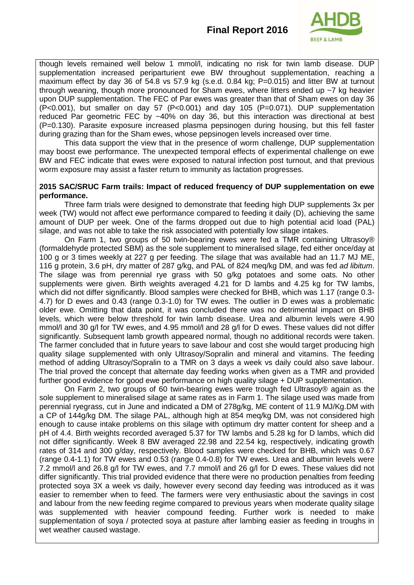

though levels remained well below 1 mmol/l, indicating no risk for twin lamb disease. DUP supplementation increased periparturient ewe BW throughout supplementation, reaching a maximum effect by day 36 of 54.8 vs 57.9 kg (s.e.d. 0.84 kg; P=0.015) and litter BW at turnout through weaning, though more pronounced for Sham ewes, where litters ended up  $\sim$ 7 kg heavier upon DUP supplementation. The FEC of Par ewes was greater than that of Sham ewes on day 36 (P<0.001), but smaller on day 57 (P<0.001) and day 105 (P=0.071). DUP supplementation reduced Par geometric FEC by ~40% on day 36, but this interaction was directional at best (P=0.130). Parasite exposure increased plasma pepsinogen during housing, but this fell faster during grazing than for the Sham ewes, whose pepsinogen levels increased over time.

This data support the view that in the presence of worm challenge, DUP supplementation may boost ewe performance. The unexpected temporal effects of experimental challenge on ewe BW and FEC indicate that ewes were exposed to natural infection post turnout, and that previous worm exposure may assist a faster return to immunity as lactation progresses.

#### **2015 SAC/SRUC Farm trails: Impact of reduced frequency of DUP supplementation on ewe performance.**

Three farm trials were designed to demonstrate that feeding high DUP supplements 3x per week (TW) would not affect ewe performance compared to feeding it daily (D), achieving the same amount of DUP per week. One of the farms dropped out due to high potential acid load (PAL) silage, and was not able to take the risk associated with potentially low silage intakes.

On Farm 1, two groups of 50 twin-bearing ewes were fed a TMR containing Ultrasoy® (formaldehyde protected SBM) as the sole supplement to mineralised silage, fed either once/day at 100 g or 3 times weekly at 227 g per feeding. The silage that was available had an 11.7 MJ ME, 116 g protein, 3.6 pH, dry matter of 287 g/kg, and PAL of 824 meq/kg DM, and was fed *ad libitum*. The silage was from perennial rye grass with 50 g/kg potatoes and some oats. No other supplements were given. Birth weights averaged 4.21 for D lambs and 4.25 kg for TW lambs, which did not differ significantly. Blood samples were checked for BHB, which was 1.17 (range 0.3-4.7) for D ewes and 0.43 (range 0.3-1.0) for TW ewes. The outlier in D ewes was a problematic older ewe. Omitting that data point, it was concluded there was no detrimental impact on BHB levels, which were below threshold for twin lamb disease. Urea and albumin levels were 4.90 mmol/l and 30 g/l for TW ewes, and 4.95 mmol/l and 28 g/l for D ewes. These values did not differ significantly. Subsequent lamb growth appeared normal, though no additional records were taken. The farmer concluded that in future years to save labour and cost she would target producing high quality silage supplemented with only Ultrasoy/Sopralin and mineral and vitamins. The feeding method of adding Ultrasoy/Sopralin to a TMR on 3 days a week vs daily could also save labour. The trial proved the concept that alternate day feeding works when given as a TMR and provided further good evidence for good ewe performance on high quality silage + DUP supplementation.

On Farm 2, two groups of 60 twin-bearing ewes were trough fed Ultrasoy® again as the sole supplement to mineralised silage at same rates as in Farm 1. The silage used was made from perennial ryegrass, cut in June and indicated a DM of 278g/kg, ME content of 11.9 MJ/Kg.DM with a CP of 144g/kg DM. The silage PAL, although high at 854 meq/kg DM, was not considered high enough to cause intake problems on this silage with optimum dry matter content for sheep and a pH of 4.4. Birth weights recorded averaged 5.37 for TW lambs and 5.28 kg for D lambs, which did not differ significantly. Week 8 BW averaged 22.98 and 22.54 kg, respectively, indicating growth rates of 314 and 300 g/day, respectively. Blood samples were checked for BHB, which was 0.67 (range 0.4-1.1) for TW ewes and 0.53 (range 0.4-0.8) for TW ewes. Urea and albumin levels were 7.2 mmol/l and 26.8 g/l for TW ewes, and 7.7 mmol/l and 26 g/l for D ewes. These values did not differ significantly. This trial provided evidence that there were no production penalties from feeding protected soya 3X a week vs daily, however every second day feeding was introduced as it was easier to remember when to feed. The farmers were very enthusiastic about the savings in cost and labour from the new feeding regime compared to previous years when moderate quality silage was supplemented with heavier compound feeding. Further work is needed to make supplementation of soya / protected soya at pasture after lambing easier as feeding in troughs in wet weather caused wastage.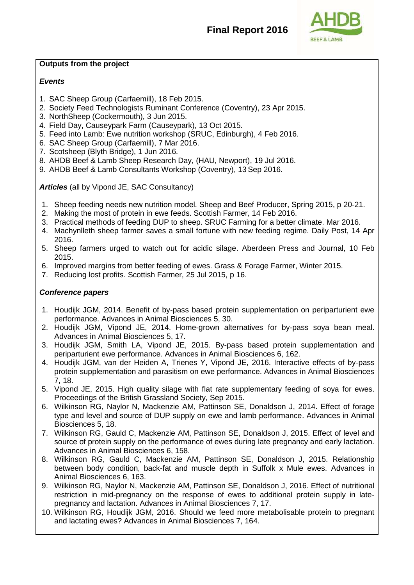

### **Outputs from the project**

## *Events*

- 1. SAC Sheep Group (Carfaemill), 18 Feb 2015.
- 2. Society Feed Technologists Ruminant Conference (Coventry), 23 Apr 2015.
- 3. NorthSheep (Cockermouth), 3 Jun 2015.
- 4. Field Day, Causeypark Farm (Causeypark), 13 Oct 2015.
- 5. Feed into Lamb: Ewe nutrition workshop (SRUC, Edinburgh), 4 Feb 2016.
- 6. SAC Sheep Group (Carfaemill), 7 Mar 2016.
- 7. Scotsheep (Blyth Bridge), 1 Jun 2016.
- 8. AHDB Beef & Lamb Sheep Research Day, (HAU, Newport), 19 Jul 2016.
- 9. AHDB Beef & Lamb Consultants Workshop (Coventry), 13 Sep 2016.

*Articles* (all by Vipond JE, SAC Consultancy)

- 1. Sheep feeding needs new nutrition model. Sheep and Beef Producer, Spring 2015, p 20-21.
- 2. Making the most of protein in ewe feeds. Scottish Farmer, 14 Feb 2016.
- 3. Practical methods of feeding DUP to sheep. SRUC Farming for a better climate. Mar 2016.
- 4. Machynlleth sheep farmer saves a small fortune with new feeding regime. Daily Post, 14 Apr 2016.
- 5. Sheep farmers urged to watch out for acidic silage. Aberdeen Press and Journal, 10 Feb 2015.
- 6. Improved margins from better feeding of ewes. Grass & Forage Farmer, Winter 2015.
- 7. Reducing lost profits. Scottish Farmer, 25 Jul 2015, p 16.

## *Conference papers*

- 1. Houdijk JGM, 2014. Benefit of by-pass based protein supplementation on periparturient ewe performance. Advances in Animal Biosciences 5, 30.
- 2. Houdijk JGM, Vipond JE, 2014. Home-grown alternatives for by-pass soya bean meal. Advances in Animal Biosciences 5, 17.
- 3. Houdijk JGM, Smith LA, Vipond JE, 2015. By-pass based protein supplementation and periparturient ewe performance. Advances in Animal Biosciences 6, 162.
- 4. Houdijk JGM, van der Heiden A, Trienes Y, Vipond JE, 2016. Interactive effects of by-pass protein supplementation and parasitism on ewe performance. Advances in Animal Biosciences 7, 18.
- 5. Vipond JE, 2015. High quality silage with flat rate supplementary feeding of soya for ewes. Proceedings of the British Grassland Society, Sep 2015.
- 6. Wilkinson RG, Naylor N, Mackenzie AM, Pattinson SE, Donaldson J, 2014. Effect of forage type and level and source of DUP supply on ewe and lamb performance. Advances in Animal Biosciences 5, 18.
- 7. Wilkinson RG, Gauld C, Mackenzie AM, Pattinson SE, Donaldson J, 2015. Effect of level and source of protein supply on the performance of ewes during late pregnancy and early lactation. Advances in Animal Biosciences 6, 158.
- 8. Wilkinson RG, Gauld C, Mackenzie AM, Pattinson SE, Donaldson J, 2015. Relationship between body condition, back-fat and muscle depth in Suffolk x Mule ewes. Advances in Animal Biosciences 6, 163.
- 9. Wilkinson RG, Naylor N, Mackenzie AM, Pattinson SE, Donaldson J, 2016. Effect of nutritional restriction in mid-pregnancy on the response of ewes to additional protein supply in latepregnancy and lactation. Advances in Animal Biosciences 7, 17.
- 10. Wilkinson RG, Houdijk JGM, 2016. Should we feed more metabolisable protein to pregnant and lactating ewes? Advances in Animal Biosciences 7, 164.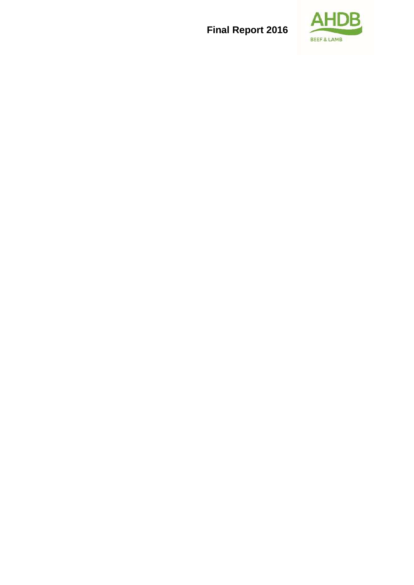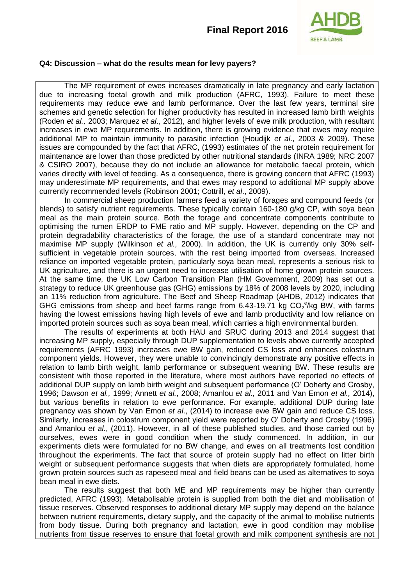

#### **Q4: Discussion – what do the results mean for levy payers?**

The MP requirement of ewes increases dramatically in late pregnancy and early lactation due to increasing foetal growth and milk production (AFRC, 1993). Failure to meet these requirements may reduce ewe and lamb performance. Over the last few years, terminal sire schemes and genetic selection for higher productivity has resulted in increased lamb birth weights (Roden *et al.,* 2003; Marquez *et al*., 2012), and higher levels of ewe milk production, with resultant increases in ewe MP requirements. In addition, there is growing evidence that ewes may require additional MP to maintain immunity to parasitic infection (Houdijk *et al*., 2003 & 2009). These issues are compounded by the fact that AFRC, (1993) estimates of the net protein requirement for maintenance are lower than those predicted by other nutritional standards (INRA 1989; NRC 2007 & CSIRO 2007), because they do not include an allowance for metabolic faecal protein, which varies directly with level of feeding. As a consequence, there is growing concern that AFRC (1993) may underestimate MP requirements, and that ewes may respond to additional MP supply above currently recommended levels (Robinson 2001; Cottrill, *et al*., 2009).

In commercial sheep production farmers feed a variety of forages and compound feeds (or blends) to satisfy nutrient requirements. These typically contain 160-180 g/kg CP, with soya bean meal as the main protein source. Both the forage and concentrate components contribute to optimising the rumen ERDP to FME ratio and MP supply. However, depending on the CP and protein degradability characteristics of the forage, the use of a standard concentrate may not maximise MP supply (Wilkinson *et al.,* 2000). In addition, the UK is currently only 30% selfsufficient in vegetable protein sources, with the rest being imported from overseas. Increased reliance on imported vegetable protein, particularly soya bean meal, represents a serious risk to UK agriculture, and there is an urgent need to increase utilisation of home grown protein sources. At the same time, the UK Low Carbon Transition Plan (HM Government, 2009) has set out a strategy to reduce UK greenhouse gas (GHG) emissions by 18% of 2008 levels by 2020, including an 11% reduction from agriculture. The Beef and Sheep Roadmap (AHDB, 2012) indicates that GHG emissions from sheep and beef farms range from 6.43-19.71 kg  $CO_2^{\text{e}}$ /kg BW, with farms having the lowest emissions having high levels of ewe and lamb productivity and low reliance on imported protein sources such as soya bean meal, which carries a high environmental burden.

The results of experiments at both HAU and SRUC during 2013 and 2014 suggest that increasing MP supply, especially through DUP supplementation to levels above currently accepted requirements (AFRC 1993) increases ewe BW gain, reduced CS loss and enhances colostrum component yields. However, they were unable to convincingly demonstrate any positive effects in relation to lamb birth weight, lamb performance or subsequent weaning BW. These results are consistent with those reported in the literature, where most authors have reported no effects of additional DUP supply on lamb birth weight and subsequent performance (O' Doherty and Crosby, 1996; Dawson *et al.,* 1999; Annett *et al.*, 2008; Amanlou *et al.,* 2011 and Van Emon *et al.,* 2014), but various benefits in relation to ewe performance. For example, additional DUP during late pregnancy was shown by Van Emon *et al*., (2014) to increase ewe BW gain and reduce CS loss. Similarly, increases in colostrum component yield were reported by O' Doherty and Crosby (1996) and Amanlou *et al.*, (2011). However, in all of these published studies, and those carried out by ourselves, ewes were in good condition when the study commenced. In addition, in our experiments diets were formulated for no BW change, and ewes on all treatments lost condition throughout the experiments. The fact that source of protein supply had no effect on litter birth weight or subsequent performance suggests that when diets are appropriately formulated, home grown protein sources such as rapeseed meal and field beans can be used as alternatives to soya bean meal in ewe diets.

The results suggest that both ME and MP requirements may be higher than currently predicted, AFRC (1993). Metabolisable protein is supplied from both the diet and mobilisation of tissue reserves. Observed responses to additional dietary MP supply may depend on the balance between nutrient requirements, dietary supply, and the capacity of the animal to mobilise nutrients from body tissue. During both pregnancy and lactation, ewe in good condition may mobilise nutrients from tissue reserves to ensure that foetal growth and milk component synthesis are not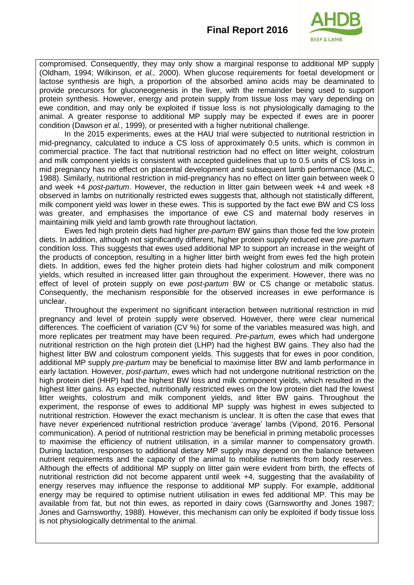

compromised. Consequently, they may only show a marginal response to additional MP supply (Oldham, 1994; Wilkinson, *et al.,* 2000). When glucose requirements for foetal development or lactose synthesis are high, a proportion of the absorbed amino acids may be deaminated to provide precursors for gluconeogenesis in the liver, with the remainder being used to support protein synthesis. However, energy and protein supply from tissue loss may vary depending on ewe condition, and may only be exploited if tissue loss is not physiologically damaging to the animal. A greater response to additional MP supply may be expected if ewes are in poorer condition (Dawson *et al.,* 1999), or presented with a higher nutritional challenge.

In the 2015 experiments, ewes at the HAU trial were subjected to nutritional restriction in mid-pregnancy, calculated to induce a CS loss of approximately 0.5 units, which is common in commercial practice. The fact that nutritional restriction had no effect on litter weight, colostrum and milk component yields is consistent with accepted guidelines that up to 0.5 units of CS loss in mid pregnancy has no effect on placental development and subsequent lamb performance (MLC, 1988). Similarly, nutritional restriction in mid-pregnancy has no effect on litter gain between week 0 and week +4 *post-partum*. However, the reduction in litter gain between week +4 and week +8 observed in lambs on nutritionally restricted ewes suggests that, although not statistically different, milk component yield was lower in these ewes. This is supported by the fact ewe BW and CS loss was greater, and emphasises the importance of ewe CS and maternal body reserves in maintaining milk yield and lamb growth rate throughout lactation.

Ewes fed high protein diets had higher *pre-partum* BW gains than those fed the low protein diets. In addition, although not significantly different, higher protein supply reduced ewe *pre-partum* condition loss. This suggests that ewes used additional MP to support an increase in the weight of the products of conception, resulting in a higher litter birth weight from ewes fed the high protein diets. In addition, ewes fed the higher protein diets had higher colostrum and milk component yields, which resulted in increased litter gain throughout the experiment. However, there was no effect of level of protein supply on ewe *post-partum* BW or CS change or metabolic status. Consequently, the mechanism responsible for the observed increases in ewe performance is unclear.

Throughout the experiment no significant interaction between nutritional restriction in mid pregnancy and level of protein supply were observed. However, there were clear numerical differences. The coefficient of variation (CV %) for some of the variables measured was high, and more replicates per treatment may have been required. *Pre-partum*, ewes which had undergone nutritional restriction on the high protein diet (LHP) had the highest BW gains. They also had the highest litter BW and colostrum component vields. This suggests that for ewes in poor condition, additional MP supply *pre-partum* may be beneficial to maximise litter BW and lamb performance in early lactation. However, *post-partum*, ewes which had not undergone nutritional restriction on the high protein diet (HHP) had the highest BW loss and milk component yields, which resulted in the highest litter gains. As expected, nutritionally restricted ewes on the low protein diet had the lowest litter weights, colostrum and milk component yields, and litter BW gains. Throughout the experiment, the response of ewes to additional MP supply was highest in ewes subjected to nutritional restriction. However the exact mechanism is unclear. It is often the case that ewes that have never experienced nutritional restriction produce 'average' lambs (Vipond, 2016. Personal communication). A period of nutritional restriction may be beneficial in priming metabolic processes to maximise the efficiency of nutrient utilisation, in a similar manner to compensatory growth. During lactation, responses to additional dietary MP supply may depend on the balance between nutrient requirements and the capacity of the animal to mobilise nutrients from body reserves. Although the effects of additional MP supply on litter gain were evident from birth, the effects of nutritional restriction did not become apparent until week +4, suggesting that the availability of energy reserves may influence the response to additional MP supply. For example, additional energy may be required to optimise nutrient utilisation in ewes fed additional MP. This may be available from fat, but not thin ewes, as reported in dairy cows (Garnsworthy and Jones 1987; Jones and Garnsworthy, 1988). However, this mechanism can only be exploited if body tissue loss is not physiologically detrimental to the animal.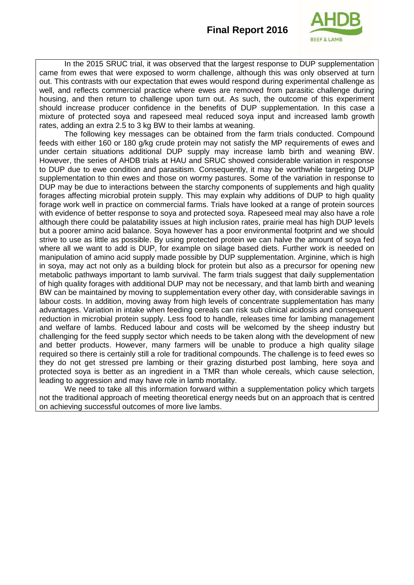

In the 2015 SRUC trial, it was observed that the largest response to DUP supplementation came from ewes that were exposed to worm challenge, although this was only observed at turn out. This contrasts with our expectation that ewes would respond during experimental challenge as well, and reflects commercial practice where ewes are removed from parasitic challenge during housing, and then return to challenge upon turn out. As such, the outcome of this experiment should increase producer confidence in the benefits of DUP supplementation. In this case a mixture of protected soya and rapeseed meal reduced soya input and increased lamb growth rates, adding an extra 2.5 to 3 kg BW to their lambs at weaning.

The following key messages can be obtained from the farm trials conducted. Compound feeds with either 160 or 180 g/kg crude protein may not satisfy the MP requirements of ewes and under certain situations additional DUP supply may increase lamb birth and weaning BW. However, the series of AHDB trials at HAU and SRUC showed considerable variation in response to DUP due to ewe condition and parasitism. Consequently, it may be worthwhile targeting DUP supplementation to thin ewes and those on wormy pastures. Some of the variation in response to DUP may be due to interactions between the starchy components of supplements and high quality forages affecting microbial protein supply. This may explain why additions of DUP to high quality forage work well in practice on commercial farms. Trials have looked at a range of protein sources with evidence of better response to soya and protected soya. Rapeseed meal may also have a role although there could be palatability issues at high inclusion rates, prairie meal has high DUP levels but a poorer amino acid balance. Soya however has a poor environmental footprint and we should strive to use as little as possible. By using protected protein we can halve the amount of soya fed where all we want to add is DUP, for example on silage based diets. Further work is needed on manipulation of amino acid supply made possible by DUP supplementation. Arginine, which is high in soya, may act not only as a building block for protein but also as a precursor for opening new metabolic pathways important to lamb survival. The farm trials suggest that daily supplementation of high quality forages with additional DUP may not be necessary, and that lamb birth and weaning BW can be maintained by moving to supplementation every other day, with considerable savings in labour costs. In addition, moving away from high levels of concentrate supplementation has many advantages. Variation in intake when feeding cereals can risk sub clinical acidosis and consequent reduction in microbial protein supply. Less food to handle, releases time for lambing management and welfare of lambs. Reduced labour and costs will be welcomed by the sheep industry but challenging for the feed supply sector which needs to be taken along with the development of new and better products. However, many farmers will be unable to produce a high quality silage required so there is certainly still a role for traditional compounds. The challenge is to feed ewes so they do not get stressed pre lambing or their grazing disturbed post lambing, here soya and protected soya is better as an ingredient in a TMR than whole cereals, which cause selection, leading to aggression and may have role in lamb mortality.

We need to take all this information forward within a supplementation policy which targets not the traditional approach of meeting theoretical energy needs but on an approach that is centred on achieving successful outcomes of more live lambs.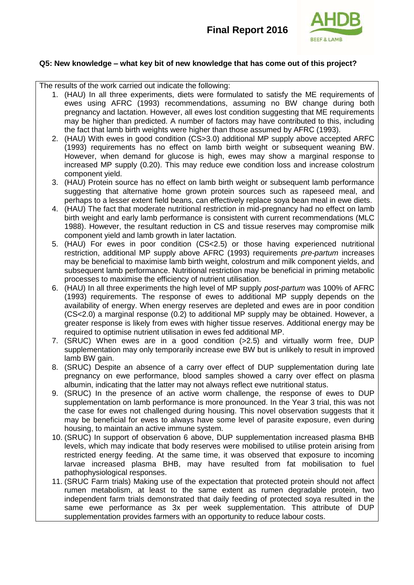

#### **Q5: New knowledge – what key bit of new knowledge that has come out of this project?**

The results of the work carried out indicate the following:

- 1. (HAU) In all three experiments, diets were formulated to satisfy the ME requirements of ewes using AFRC (1993) recommendations, assuming no BW change during both pregnancy and lactation. However, all ewes lost condition suggesting that ME requirements may be higher than predicted. A number of factors may have contributed to this, including the fact that lamb birth weights were higher than those assumed by AFRC (1993).
- 2. (HAU) With ewes in good condition (CS>3.0) additional MP supply above accepted ARFC (1993) requirements has no effect on lamb birth weight or subsequent weaning BW. However, when demand for glucose is high, ewes may show a marginal response to increased MP supply (0.20). This may reduce ewe condition loss and increase colostrum component yield.
- 3. (HAU) Protein source has no effect on lamb birth weight or subsequent lamb performance suggesting that alternative home grown protein sources such as rapeseed meal, and perhaps to a lesser extent field beans, can effectively replace soya bean meal in ewe diets.
- 4. (HAU) The fact that moderate nutritional restriction in mid-pregnancy had no effect on lamb birth weight and early lamb performance is consistent with current recommendations (MLC 1988). However, the resultant reduction in CS and tissue reserves may compromise milk component yield and lamb growth in later lactation.
- 5. (HAU) For ewes in poor condition (CS<2.5) or those having experienced nutritional restriction, additional MP supply above AFRC (1993) requirements *pre-partum* increases may be beneficial to maximise lamb birth weight, colostrum and milk component yields, and subsequent lamb performance. Nutritional restriction may be beneficial in priming metabolic processes to maximise the efficiency of nutrient utilisation.
- 6. (HAU) In all three experiments the high level of MP supply *post-partum* was 100% of AFRC (1993) requirements. The response of ewes to additional MP supply depends on the availability of energy. When energy reserves are depleted and ewes are in poor condition (CS<2.0) a marginal response (0.2) to additional MP supply may be obtained. However, a greater response is likely from ewes with higher tissue reserves. Additional energy may be required to optimise nutrient utilisation in ewes fed additional MP.
- 7. (SRUC) When ewes are in a good condition (>2.5) and virtually worm free, DUP supplementation may only temporarily increase ewe BW but is unlikely to result in improved lamb BW gain.
- 8. (SRUC) Despite an absence of a carry over effect of DUP supplementation during late pregnancy on ewe performance, blood samples showed a carry over effect on plasma albumin, indicating that the latter may not always reflect ewe nutritional status.
- 9. (SRUC) In the presence of an active worm challenge, the response of ewes to DUP supplementation on lamb performance is more pronounced. In the Year 3 trial, this was not the case for ewes not challenged during housing. This novel observation suggests that it may be beneficial for ewes to always have some level of parasite exposure, even during housing, to maintain an active immune system.
- 10. (SRUC) In support of observation 6 above, DUP supplementation increased plasma BHB levels, which may indicate that body reserves were mobilised to utilise protein arising from restricted energy feeding. At the same time, it was observed that exposure to incoming larvae increased plasma BHB, may have resulted from fat mobilisation to fuel pathophysiological responses.
- 11. (SRUC Farm trials) Making use of the expectation that protected protein should not affect rumen metabolism, at least to the same extent as rumen degradable protein, two independent farm trials demonstrated that daily feeding of protected soya resulted in the same ewe performance as 3x per week supplementation. This attribute of DUP supplementation provides farmers with an opportunity to reduce labour costs.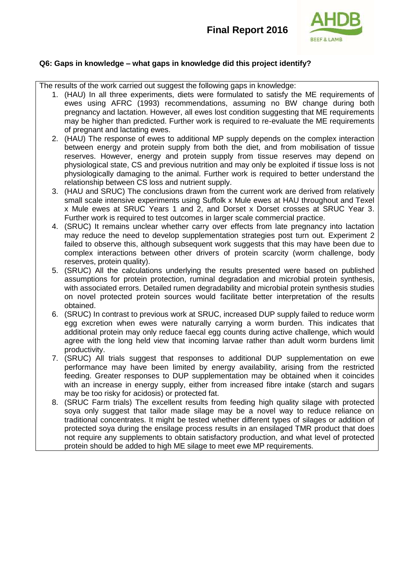

## **Q6: Gaps in knowledge – what gaps in knowledge did this project identify?**

The results of the work carried out suggest the following gaps in knowledge:

- 1. (HAU) In all three experiments, diets were formulated to satisfy the ME requirements of ewes using AFRC (1993) recommendations, assuming no BW change during both pregnancy and lactation. However, all ewes lost condition suggesting that ME requirements may be higher than predicted. Further work is required to re-evaluate the ME requirements of pregnant and lactating ewes.
- 2. (HAU) The response of ewes to additional MP supply depends on the complex interaction between energy and protein supply from both the diet, and from mobilisation of tissue reserves. However, energy and protein supply from tissue reserves may depend on physiological state, CS and previous nutrition and may only be exploited if tissue loss is not physiologically damaging to the animal. Further work is required to better understand the relationship between CS loss and nutrient supply.
- 3. (HAU and SRUC) The conclusions drawn from the current work are derived from relatively small scale intensive experiments using Suffolk x Mule ewes at HAU throughout and Texel x Mule ewes at SRUC Years 1 and 2, and Dorset x Dorset crosses at SRUC Year 3. Further work is required to test outcomes in larger scale commercial practice.
- 4. (SRUC) It remains unclear whether carry over effects from late pregnancy into lactation may reduce the need to develop supplementation strategies post turn out. Experiment 2 failed to observe this, although subsequent work suggests that this may have been due to complex interactions between other drivers of protein scarcity (worm challenge, body reserves, protein quality).
- 5. (SRUC) All the calculations underlying the results presented were based on published assumptions for protein protection, ruminal degradation and microbial protein synthesis, with associated errors. Detailed rumen degradability and microbial protein synthesis studies on novel protected protein sources would facilitate better interpretation of the results obtained.
- 6. (SRUC) In contrast to previous work at SRUC, increased DUP supply failed to reduce worm egg excretion when ewes were naturally carrying a worm burden. This indicates that additional protein may only reduce faecal egg counts during active challenge, which would agree with the long held view that incoming larvae rather than adult worm burdens limit productivity.
- 7. (SRUC) All trials suggest that responses to additional DUP supplementation on ewe performance may have been limited by energy availability, arising from the restricted feeding. Greater responses to DUP supplementation may be obtained when it coincides with an increase in energy supply, either from increased fibre intake (starch and sugars may be too risky for acidosis) or protected fat.
- 8. (SRUC Farm trials) The excellent results from feeding high quality silage with protected soya only suggest that tailor made silage may be a novel way to reduce reliance on traditional concentrates. It might be tested whether different types of silages or addition of protected soya during the ensilage process results in an ensilaged TMR product that does not require any supplements to obtain satisfactory production, and what level of protected protein should be added to high ME silage to meet ewe MP requirements.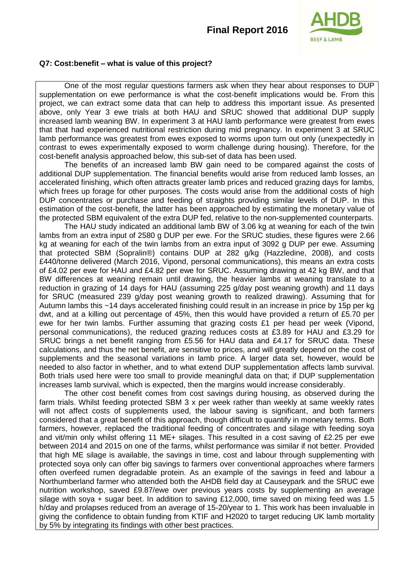

#### **Q7: Cost:benefit – what is value of this project?**

One of the most regular questions farmers ask when they hear about responses to DUP supplementation on ewe performance is what the cost-benefit implications would be. From this project, we can extract some data that can help to address this important issue. As presented above, only Year 3 ewe trials at both HAU and SRUC showed that additional DUP supply increased lamb weaning BW. In experiment 3 at HAU lamb performance were greatest from ewes that that had experienced nutritional restriction during mid pregnancy. In experiment 3 at SRUC lamb performance was greatest from ewes exposed to worms upon turn out only (unexpectedly in contrast to ewes experimentally exposed to worm challenge during housing). Therefore, for the cost-benefit analysis approached below, this sub-set of data has been used.

The benefits of an increased lamb BW gain need to be compared against the costs of additional DUP supplementation. The financial benefits would arise from reduced lamb losses, an accelerated finishing, which often attracts greater lamb prices and reduced grazing days for lambs, which frees up forage for other purposes. The costs would arise from the additional costs of high DUP concentrates or purchase and feeding of straights providing similar levels of DUP. In this estimation of the cost-benefit, the latter has been approached by estimating the monetary value of the protected SBM equivalent of the extra DUP fed, relative to the non-supplemented counterparts.

The HAU study indicated an additional lamb BW of 3.06 kg at weaning for each of the twin lambs from an extra input of 2580 g DUP per ewe. For the SRUC studies, these figures were 2.66 kg at weaning for each of the twin lambs from an extra input of 3092 g DUP per ewe. Assuming that protected SBM (Sopralin®) contains DUP at 282 g/kg (Hazzledine, 2008), and costs £440/tonne delivered (March 2016, Vipond, personal communications), this means an extra costs of £4.02 per ewe for HAU and £4.82 per ewe for SRUC. Assuming drawing at 42 kg BW, and that BW differences at weaning remain until drawing, the heavier lambs at weaning translate to a reduction in grazing of 14 days for HAU (assuming 225 g/day post weaning growth) and 11 days for SRUC (measured 239 g/day post weaning growth to realized drawing). Assuming that for Autumn lambs this ~14 days accelerated finishing could result in an increase in price by 15p per kg dwt, and at a killing out percentage of 45%, then this would have provided a return of £5.70 per ewe for her twin lambs. Further assuming that grazing costs £1 per head per week (Vipond, personal communications), the reduced grazing reduces costs at £3.89 for HAU and £3.29 for SRUC brings a net benefit ranging from £5.56 for HAU data and £4.17 for SRUC data. These calculations, and thus the net benefit, are sensitive to prices, and will greatly depend on the cost of supplements and the seasonal variations in lamb price. A larger data set, however, would be needed to also factor in whether, and to what extend DUP supplementation affects lamb survival. Both trials used here were too small to provide meaningful data on that; if DUP supplementation increases lamb survival, which is expected, then the margins would increase considerably.

The other cost benefit comes from cost savings during housing, as observed during the farm trials. Whilst feeding protected SBM 3 x per week rather than weekly at same weekly rates will not affect costs of supplements used, the labour saving is significant, and both farmers considered that a great benefit of this approach, though difficult to quantify in monetary terms. Both farmers, however, replaced the traditional feeding of concentrates and silage with feeding soya and vit/min only whilst offering 11 ME+ silages. This resulted in a cost saving of £2.25 per ewe between 2014 and 2015 on one of the farms, whilst performance was similar if not better. Provided that high ME silage is available, the savings in time, cost and labour through supplementing with protected soya only can offer big savings to farmers over conventional approaches where farmers often overfeed rumen degradable protein. As an example of the savings in feed and labour a Northumberland farmer who attended both the AHDB field day at Causeypark and the SRUC ewe nutrition workshop, saved £9.87/ewe over previous years costs by supplementing an average silage with sova + sugar beet. In addition to saving £12,000, time saved on mixing feed was 1.5 h/day and prolapses reduced from an average of 15-20/year to 1. This work has been invaluable in giving the confidence to obtain funding from KTIF and H2020 to target reducing UK lamb mortality by 5% by integrating its findings with other best practices.